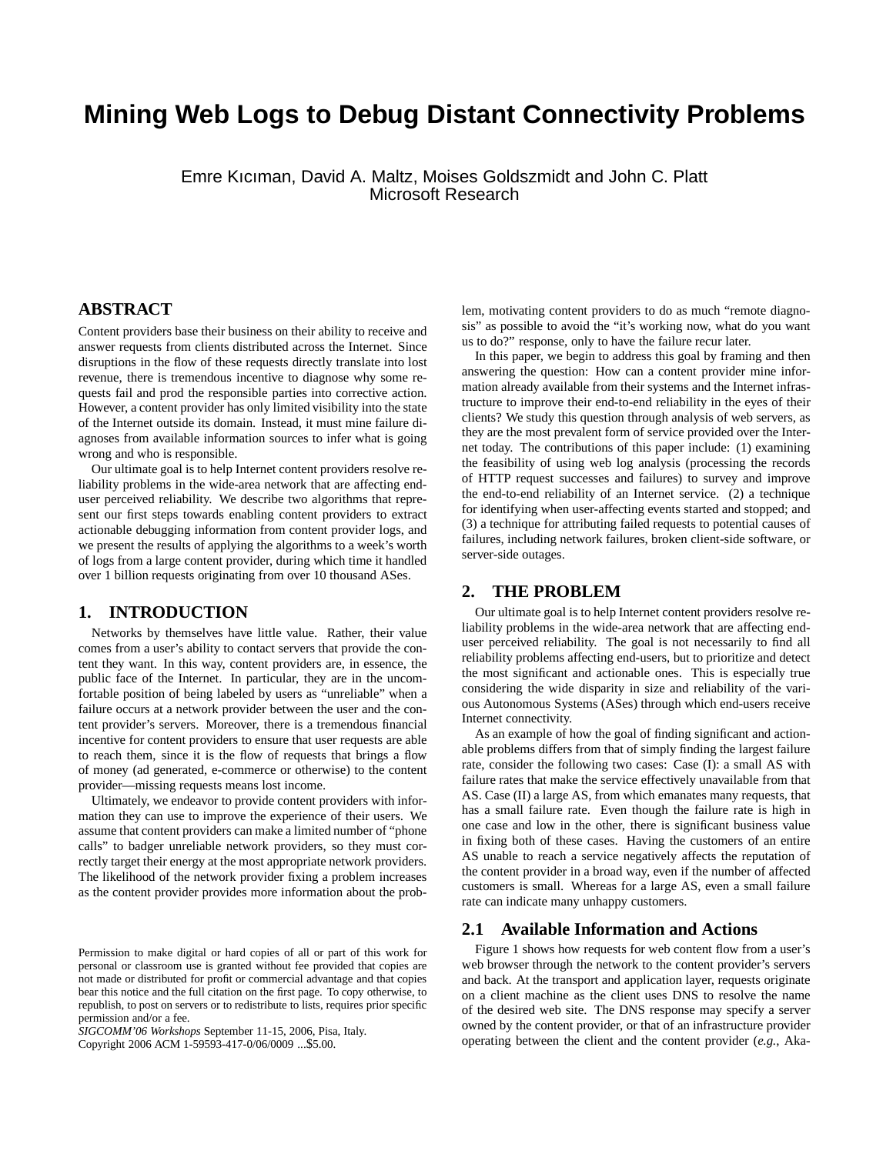# **Mining Web Logs to Debug Distant Connectivity Problems**

Emre Kıcıman, David A. Maltz, Moises Goldszmidt and John C. Platt Microsoft Research

## **ABSTRACT**

Content providers base their business on their ability to receive and answer requests from clients distributed across the Internet. Since disruptions in the flow of these requests directly translate into lost revenue, there is tremendous incentive to diagnose why some requests fail and prod the responsible parties into corrective action. However, a content provider has only limited visibility into the state of the Internet outside its domain. Instead, it must mine failure diagnoses from available information sources to infer what is going wrong and who is responsible.

Our ultimate goal is to help Internet content providers resolve reliability problems in the wide-area network that are affecting enduser perceived reliability. We describe two algorithms that represent our first steps towards enabling content providers to extract actionable debugging information from content provider logs, and we present the results of applying the algorithms to a week's worth of logs from a large content provider, during which time it handled over 1 billion requests originating from over 10 thousand ASes.

#### **1. INTRODUCTION**

Networks by themselves have little value. Rather, their value comes from a user's ability to contact servers that provide the content they want. In this way, content providers are, in essence, the public face of the Internet. In particular, they are in the uncomfortable position of being labeled by users as "unreliable" when a failure occurs at a network provider between the user and the content provider's servers. Moreover, there is a tremendous financial incentive for content providers to ensure that user requests are able to reach them, since it is the flow of requests that brings a flow of money (ad generated, e-commerce or otherwise) to the content provider—missing requests means lost income.

Ultimately, we endeavor to provide content providers with information they can use to improve the experience of their users. We assume that content providers can make a limited number of "phone calls" to badger unreliable network providers, so they must correctly target their energy at the most appropriate network providers. The likelihood of the network provider fixing a problem increases as the content provider provides more information about the prob-

*SIGCOMM'06 Workshops* September 11-15, 2006, Pisa, Italy.

Copyright 2006 ACM 1-59593-417-0/06/0009 ...\$5.00.

lem, motivating content providers to do as much "remote diagnosis" as possible to avoid the "it's working now, what do you want us to do?" response, only to have the failure recur later.

In this paper, we begin to address this goal by framing and then answering the question: How can a content provider mine information already available from their systems and the Internet infrastructure to improve their end-to-end reliability in the eyes of their clients? We study this question through analysis of web servers, as they are the most prevalent form of service provided over the Internet today. The contributions of this paper include: (1) examining the feasibility of using web log analysis (processing the records of HTTP request successes and failures) to survey and improve the end-to-end reliability of an Internet service. (2) a technique for identifying when user-affecting events started and stopped; and (3) a technique for attributing failed requests to potential causes of failures, including network failures, broken client-side software, or server-side outages.

## **2. THE PROBLEM**

Our ultimate goal is to help Internet content providers resolve reliability problems in the wide-area network that are affecting enduser perceived reliability. The goal is not necessarily to find all reliability problems affecting end-users, but to prioritize and detect the most significant and actionable ones. This is especially true considering the wide disparity in size and reliability of the various Autonomous Systems (ASes) through which end-users receive Internet connectivity.

As an example of how the goal of finding significant and actionable problems differs from that of simply finding the largest failure rate, consider the following two cases: Case (I): a small AS with failure rates that make the service effectively unavailable from that AS. Case (II) a large AS, from which emanates many requests, that has a small failure rate. Even though the failure rate is high in one case and low in the other, there is significant business value in fixing both of these cases. Having the customers of an entire AS unable to reach a service negatively affects the reputation of the content provider in a broad way, even if the number of affected customers is small. Whereas for a large AS, even a small failure rate can indicate many unhappy customers.

## **2.1 Available Information and Actions**

Figure 1 shows how requests for web content flow from a user's web browser through the network to the content provider's servers and back. At the transport and application layer, requests originate on a client machine as the client uses DNS to resolve the name of the desired web site. The DNS response may specify a server owned by the content provider, or that of an infrastructure provider operating between the client and the content provider (*e.g.*, Aka-

Permission to make digital or hard copies of all or part of this work for personal or classroom use is granted without fee provided that copies are not made or distributed for profit or commercial advantage and that copies bear this notice and the full citation on the first page. To copy otherwise, to republish, to post on servers or to redistribute to lists, requires prior specific permission and/or a fee.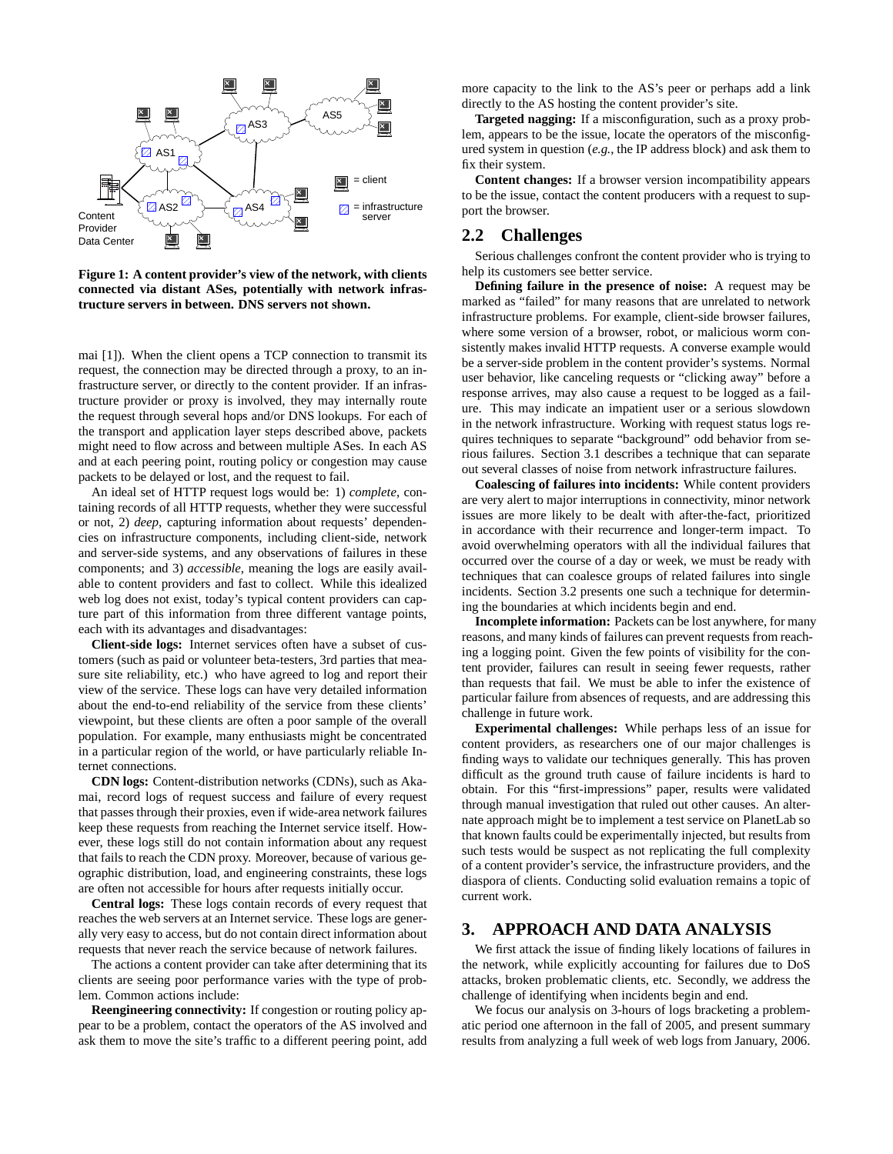

**Figure 1: A content provider's view of the network, with clients connected via distant ASes, potentially with network infrastructure servers in between. DNS servers not shown.**

mai [1]). When the client opens a TCP connection to transmit its request, the connection may be directed through a proxy, to an infrastructure server, or directly to the content provider. If an infrastructure provider or proxy is involved, they may internally route the request through several hops and/or DNS lookups. For each of the transport and application layer steps described above, packets might need to flow across and between multiple ASes. In each AS and at each peering point, routing policy or congestion may cause packets to be delayed or lost, and the request to fail.

An ideal set of HTTP request logs would be: 1) *complete*, containing records of all HTTP requests, whether they were successful or not, 2) *deep*, capturing information about requests' dependencies on infrastructure components, including client-side, network and server-side systems, and any observations of failures in these components; and 3) *accessible*, meaning the logs are easily available to content providers and fast to collect. While this idealized web log does not exist, today's typical content providers can capture part of this information from three different vantage points, each with its advantages and disadvantages:

**Client-side logs:** Internet services often have a subset of customers (such as paid or volunteer beta-testers, 3rd parties that measure site reliability, etc.) who have agreed to log and report their view of the service. These logs can have very detailed information about the end-to-end reliability of the service from these clients' viewpoint, but these clients are often a poor sample of the overall population. For example, many enthusiasts might be concentrated in a particular region of the world, or have particularly reliable Internet connections.

**CDN logs:** Content-distribution networks (CDNs), such as Akamai, record logs of request success and failure of every request that passes through their proxies, even if wide-area network failures keep these requests from reaching the Internet service itself. However, these logs still do not contain information about any request that fails to reach the CDN proxy. Moreover, because of various geographic distribution, load, and engineering constraints, these logs are often not accessible for hours after requests initially occur.

**Central logs:** These logs contain records of every request that reaches the web servers at an Internet service. These logs are generally very easy to access, but do not contain direct information about requests that never reach the service because of network failures.

The actions a content provider can take after determining that its clients are seeing poor performance varies with the type of problem. Common actions include:

**Reengineering connectivity:** If congestion or routing policy appear to be a problem, contact the operators of the AS involved and ask them to move the site's traffic to a different peering point, add more capacity to the link to the AS's peer or perhaps add a link directly to the AS hosting the content provider's site.

**Targeted nagging:** If a misconfiguration, such as a proxy problem, appears to be the issue, locate the operators of the misconfigured system in question (*e.g.*, the IP address block) and ask them to fix their system.

**Content changes:** If a browser version incompatibility appears to be the issue, contact the content producers with a request to support the browser.

#### **2.2 Challenges**

Serious challenges confront the content provider who is trying to help its customers see better service.

**Defining failure in the presence of noise:** A request may be marked as "failed" for many reasons that are unrelated to network infrastructure problems. For example, client-side browser failures, where some version of a browser, robot, or malicious worm consistently makes invalid HTTP requests. A converse example would be a server-side problem in the content provider's systems. Normal user behavior, like canceling requests or "clicking away" before a response arrives, may also cause a request to be logged as a failure. This may indicate an impatient user or a serious slowdown in the network infrastructure. Working with request status logs requires techniques to separate "background" odd behavior from serious failures. Section 3.1 describes a technique that can separate out several classes of noise from network infrastructure failures.

**Coalescing of failures into incidents:** While content providers are very alert to major interruptions in connectivity, minor network issues are more likely to be dealt with after-the-fact, prioritized in accordance with their recurrence and longer-term impact. To avoid overwhelming operators with all the individual failures that occurred over the course of a day or week, we must be ready with techniques that can coalesce groups of related failures into single incidents. Section 3.2 presents one such a technique for determining the boundaries at which incidents begin and end.

**Incomplete information:** Packets can be lost anywhere, for many reasons, and many kinds of failures can prevent requests from reaching a logging point. Given the few points of visibility for the content provider, failures can result in seeing fewer requests, rather than requests that fail. We must be able to infer the existence of particular failure from absences of requests, and are addressing this challenge in future work.

**Experimental challenges:** While perhaps less of an issue for content providers, as researchers one of our major challenges is finding ways to validate our techniques generally. This has proven difficult as the ground truth cause of failure incidents is hard to obtain. For this "first-impressions" paper, results were validated through manual investigation that ruled out other causes. An alternate approach might be to implement a test service on PlanetLab so that known faults could be experimentally injected, but results from such tests would be suspect as not replicating the full complexity of a content provider's service, the infrastructure providers, and the diaspora of clients. Conducting solid evaluation remains a topic of current work.

## **3. APPROACH AND DATA ANALYSIS**

We first attack the issue of finding likely locations of failures in the network, while explicitly accounting for failures due to DoS attacks, broken problematic clients, etc. Secondly, we address the challenge of identifying when incidents begin and end.

We focus our analysis on 3-hours of logs bracketing a problematic period one afternoon in the fall of 2005, and present summary results from analyzing a full week of web logs from January, 2006.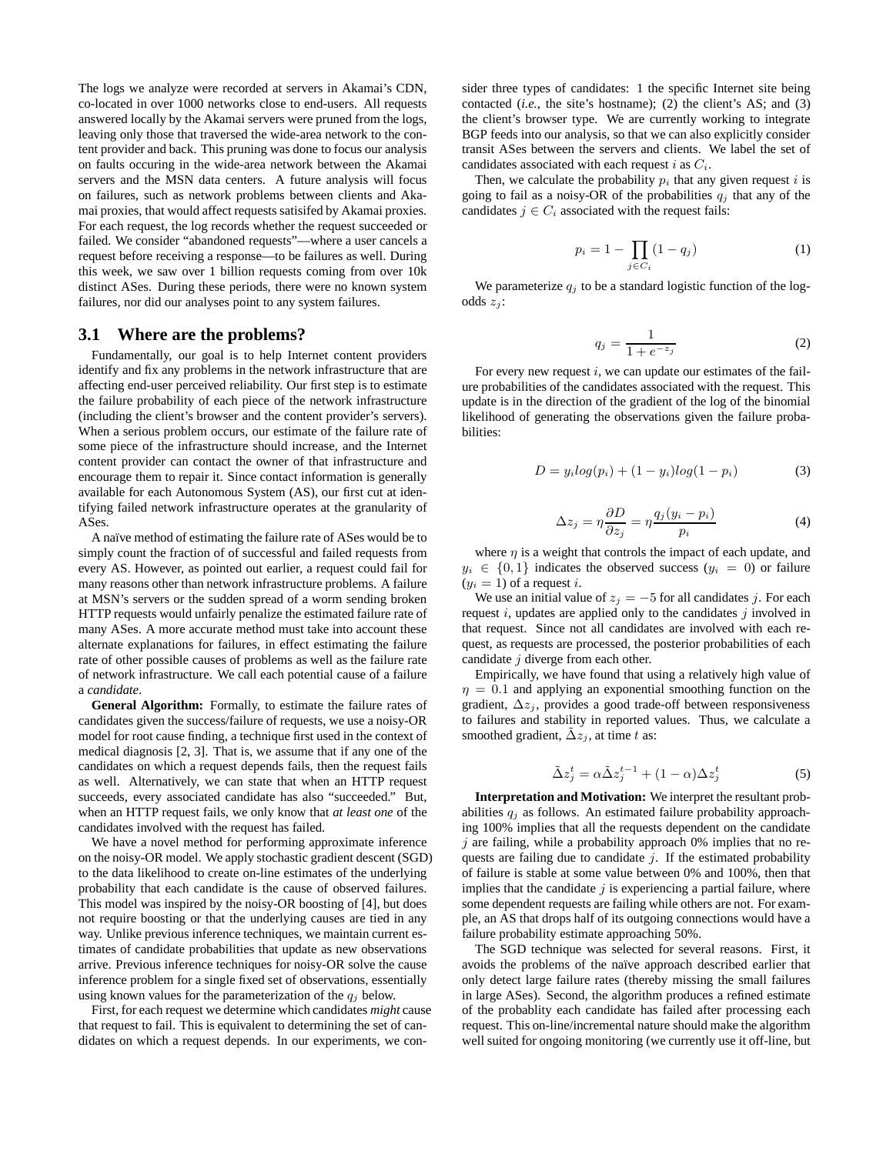The logs we analyze were recorded at servers in Akamai's CDN, co-located in over 1000 networks close to end-users. All requests answered locally by the Akamai servers were pruned from the logs, leaving only those that traversed the wide-area network to the content provider and back. This pruning was done to focus our analysis on faults occuring in the wide-area network between the Akamai servers and the MSN data centers. A future analysis will focus on failures, such as network problems between clients and Akamai proxies, that would affect requests satisifed by Akamai proxies. For each request, the log records whether the request succeeded or failed. We consider "abandoned requests"—where a user cancels a request before receiving a response—to be failures as well. During this week, we saw over 1 billion requests coming from over 10k distinct ASes. During these periods, there were no known system failures, nor did our analyses point to any system failures.

#### **3.1 Where are the problems?**

Fundamentally, our goal is to help Internet content providers identify and fix any problems in the network infrastructure that are affecting end-user perceived reliability. Our first step is to estimate the failure probability of each piece of the network infrastructure (including the client's browser and the content provider's servers). When a serious problem occurs, our estimate of the failure rate of some piece of the infrastructure should increase, and the Internet content provider can contact the owner of that infrastructure and encourage them to repair it. Since contact information is generally available for each Autonomous System (AS), our first cut at identifying failed network infrastructure operates at the granularity of ASes.

A naïve method of estimating the failure rate of ASes would be to simply count the fraction of of successful and failed requests from every AS. However, as pointed out earlier, a request could fail for many reasons other than network infrastructure problems. A failure at MSN's servers or the sudden spread of a worm sending broken HTTP requests would unfairly penalize the estimated failure rate of many ASes. A more accurate method must take into account these alternate explanations for failures, in effect estimating the failure rate of other possible causes of problems as well as the failure rate of network infrastructure. We call each potential cause of a failure a *candidate*.

**General Algorithm:** Formally, to estimate the failure rates of candidates given the success/failure of requests, we use a noisy-OR model for root cause finding, a technique first used in the context of medical diagnosis [2, 3]. That is, we assume that if any one of the candidates on which a request depends fails, then the request fails as well. Alternatively, we can state that when an HTTP request succeeds, every associated candidate has also "succeeded." But, when an HTTP request fails, we only know that *at least one* of the candidates involved with the request has failed.

We have a novel method for performing approximate inference on the noisy-OR model. We apply stochastic gradient descent (SGD) to the data likelihood to create on-line estimates of the underlying probability that each candidate is the cause of observed failures. This model was inspired by the noisy-OR boosting of [4], but does not require boosting or that the underlying causes are tied in any way. Unlike previous inference techniques, we maintain current estimates of candidate probabilities that update as new observations arrive. Previous inference techniques for noisy-OR solve the cause inference problem for a single fixed set of observations, essentially using known values for the parameterization of the  $q_i$  below.

First, for each request we determine which candidates *might* cause that request to fail. This is equivalent to determining the set of candidates on which a request depends. In our experiments, we consider three types of candidates: 1 the specific Internet site being contacted (*i.e.*, the site's hostname); (2) the client's AS; and (3) the client's browser type. We are currently working to integrate BGP feeds into our analysis, so that we can also explicitly consider transit ASes between the servers and clients. We label the set of candidates associated with each request i as  $C_i$ .

Then, we calculate the probability  $p_i$  that any given request i is going to fail as a noisy-OR of the probabilities  $q_i$  that any of the candidates  $j \in C_i$  associated with the request fails:

$$
p_i = 1 - \prod_{j \in C_i} (1 - q_j)
$$
 (1)

We parameterize  $q_j$  to be a standard logistic function of the logodds  $z_i$ :

$$
q_j = \frac{1}{1 + e^{-z_j}}
$$
 (2)

For every new request i, we can update our estimates of the failure probabilities of the candidates associated with the request. This update is in the direction of the gradient of the log of the binomial likelihood of generating the observations given the failure probabilities:

$$
D = y_i \log(p_i) + (1 - y_i) \log(1 - p_i) \tag{3}
$$

$$
\Delta z_j = \eta \frac{\partial D}{\partial z_j} = \eta \frac{q_j (y_i - p_i)}{p_i} \tag{4}
$$

where  $\eta$  is a weight that controls the impact of each update, and  $y_i \in \{0,1\}$  indicates the observed success  $(y_i = 0)$  or failure  $(y_i = 1)$  of a request i.

We use an initial value of  $z_j = -5$  for all candidates j. For each request  $i$ , updates are applied only to the candidates  $j$  involved in that request. Since not all candidates are involved with each request, as requests are processed, the posterior probabilities of each candidate  $j$  diverge from each other.

Empirically, we have found that using a relatively high value of  $\eta = 0.1$  and applying an exponential smoothing function on the gradient,  $\Delta z_j$ , provides a good trade-off between responsiveness to failures and stability in reported values. Thus, we calculate a smoothed gradient,  $\tilde{\Delta}z_i$ , at time t as:

$$
\tilde{\Delta} z_j^t = \alpha \tilde{\Delta} z_j^{t-1} + (1 - \alpha) \Delta z_j^t \tag{5}
$$

**Interpretation and Motivation:** We interpret the resultant probabilities  $q_i$  as follows. An estimated failure probability approaching 100% implies that all the requests dependent on the candidate  $j$  are failing, while a probability approach 0% implies that no requests are failing due to candidate  $j$ . If the estimated probability of failure is stable at some value between 0% and 100%, then that implies that the candidate  $j$  is experiencing a partial failure, where some dependent requests are failing while others are not. For example, an AS that drops half of its outgoing connections would have a failure probability estimate approaching 50%.

The SGD technique was selected for several reasons. First, it avoids the problems of the naïve approach described earlier that only detect large failure rates (thereby missing the small failures in large ASes). Second, the algorithm produces a refined estimate of the probablity each candidate has failed after processing each request. This on-line/incremental nature should make the algorithm well suited for ongoing monitoring (we currently use it off-line, but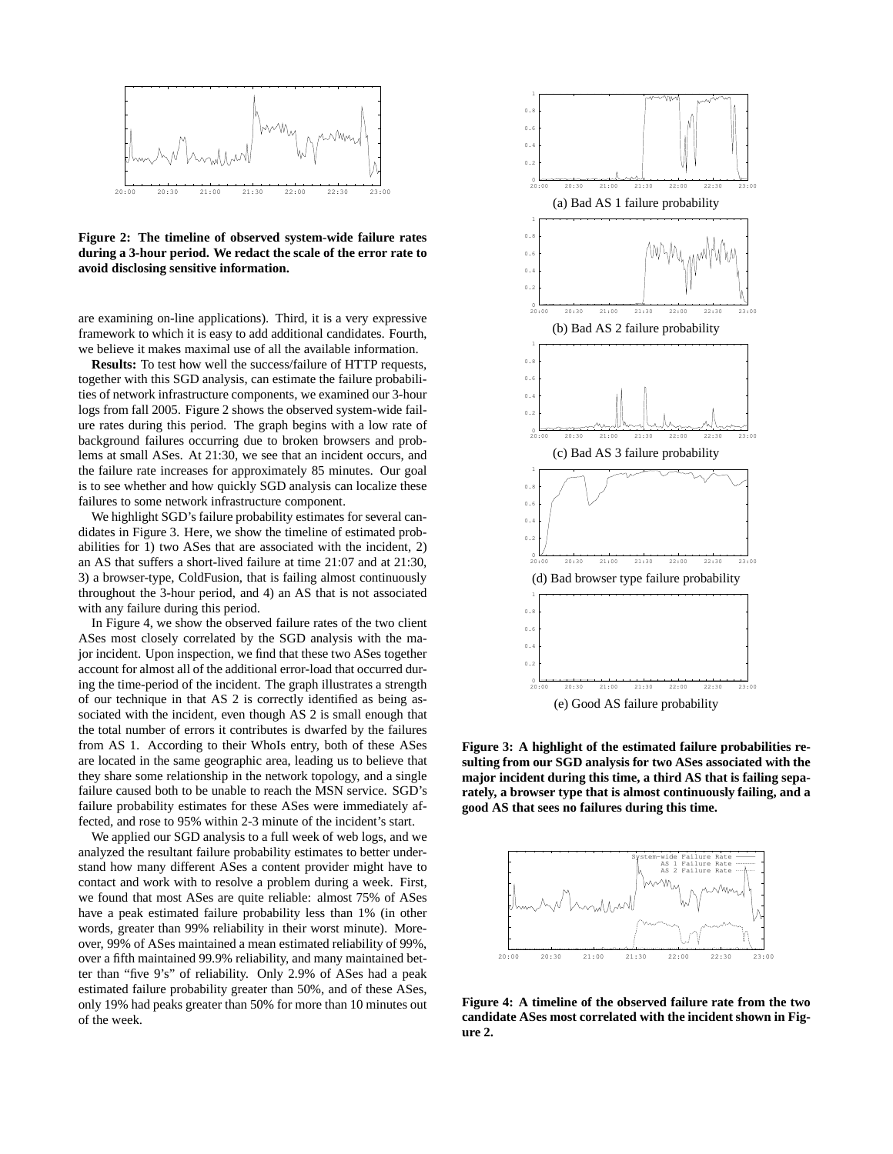

**Figure 2: The timeline of observed system-wide failure rates during a 3-hour period. We redact the scale of the error rate to avoid disclosing sensitive information.**

are examining on-line applications). Third, it is a very expressive framework to which it is easy to add additional candidates. Fourth, we believe it makes maximal use of all the available information.

**Results:** To test how well the success/failure of HTTP requests, together with this SGD analysis, can estimate the failure probabilities of network infrastructure components, we examined our 3-hour logs from fall 2005. Figure 2 shows the observed system-wide failure rates during this period. The graph begins with a low rate of background failures occurring due to broken browsers and problems at small ASes. At 21:30, we see that an incident occurs, and the failure rate increases for approximately 85 minutes. Our goal is to see whether and how quickly SGD analysis can localize these failures to some network infrastructure component.

We highlight SGD's failure probability estimates for several candidates in Figure 3. Here, we show the timeline of estimated probabilities for 1) two ASes that are associated with the incident, 2) an AS that suffers a short-lived failure at time 21:07 and at 21:30, 3) a browser-type, ColdFusion, that is failing almost continuously throughout the 3-hour period, and 4) an AS that is not associated with any failure during this period.

In Figure 4, we show the observed failure rates of the two client ASes most closely correlated by the SGD analysis with the major incident. Upon inspection, we find that these two ASes together account for almost all of the additional error-load that occurred during the time-period of the incident. The graph illustrates a strength of our technique in that AS 2 is correctly identified as being associated with the incident, even though AS 2 is small enough that the total number of errors it contributes is dwarfed by the failures from AS 1. According to their WhoIs entry, both of these ASes are located in the same geographic area, leading us to believe that they share some relationship in the network topology, and a single failure caused both to be unable to reach the MSN service. SGD's failure probability estimates for these ASes were immediately affected, and rose to 95% within 2-3 minute of the incident's start.

We applied our SGD analysis to a full week of web logs, and we analyzed the resultant failure probability estimates to better understand how many different ASes a content provider might have to contact and work with to resolve a problem during a week. First, we found that most ASes are quite reliable: almost 75% of ASes have a peak estimated failure probability less than 1% (in other words, greater than 99% reliability in their worst minute). Moreover, 99% of ASes maintained a mean estimated reliability of 99%, over a fifth maintained 99.9% reliability, and many maintained better than "five 9's" of reliability. Only 2.9% of ASes had a peak estimated failure probability greater than 50%, and of these ASes, only 19% had peaks greater than 50% for more than 10 minutes out of the week.



**Figure 3: A highlight of the estimated failure probabilities resulting from our SGD analysis for two ASes associated with the major incident during this time, a third AS that is failing separately, a browser type that is almost continuously failing, and a good AS that sees no failures during this time.**



**Figure 4: A timeline of the observed failure rate from the two candidate ASes most correlated with the incident shown in Figure 2.**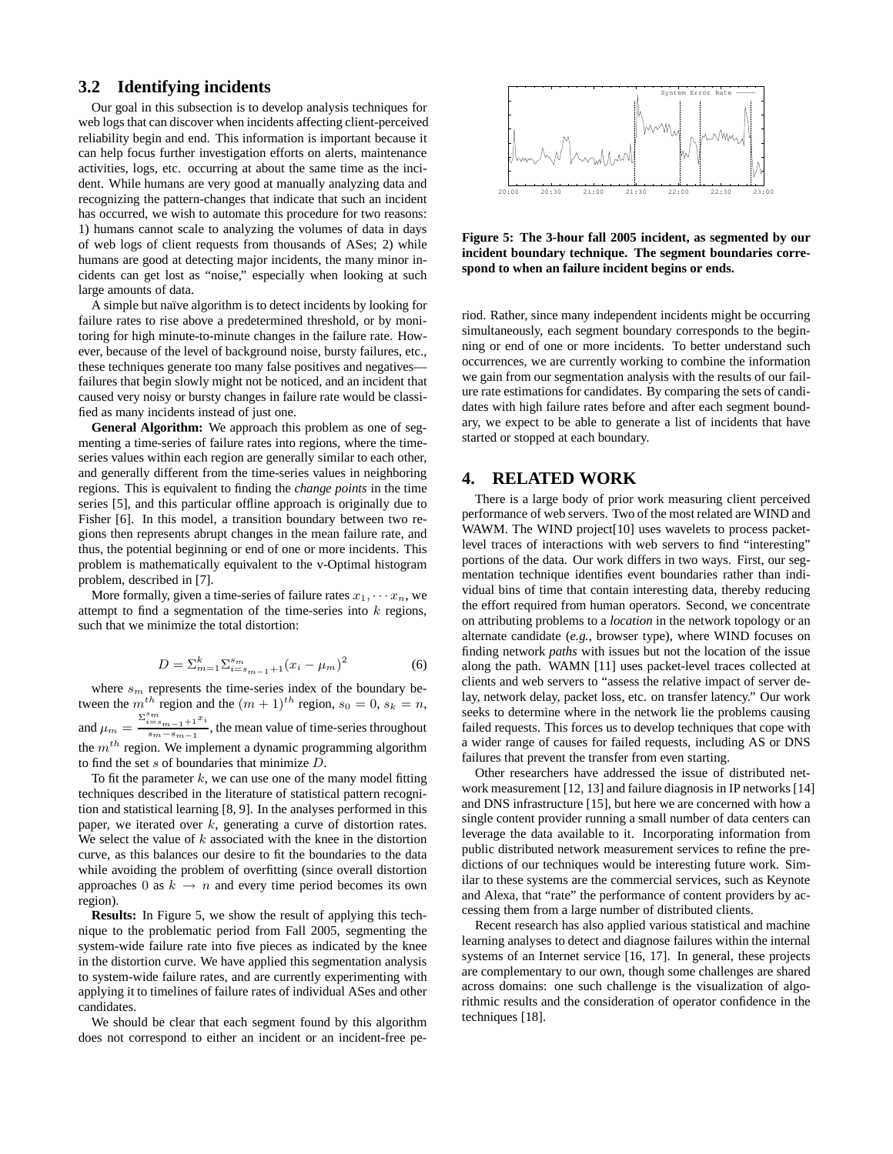### **3.2 Identifying incidents**

Our goal in this subsection is to develop analysis techniques for web logs that can discover when incidents affecting client-perceived reliability begin and end. This information is important because it can help focus further investigation efforts on alerts, maintenance activities, logs, etc. occurring at about the same time as the incident. While humans are very good at manually analyzing data and recognizing the pattern-changes that indicate that such an incident has occurred, we wish to automate this procedure for two reasons: 1) humans cannot scale to analyzing the volumes of data in days of web logs of client requests from thousands of ASes; 2) while humans are good at detecting major incidents, the many minor incidents can get lost as "noise," especially when looking at such large amounts of data.

A simple but na¨ıve algorithm is to detect incidents by looking for failure rates to rise above a predetermined threshold, or by monitoring for high minute-to-minute changes in the failure rate. However, because of the level of background noise, bursty failures, etc., these techniques generate too many false positives and negatives failures that begin slowly might not be noticed, and an incident that caused very noisy or bursty changes in failure rate would be classified as many incidents instead of just one.

**General Algorithm:** We approach this problem as one of segmenting a time-series of failure rates into regions, where the timeseries values within each region are generally similar to each other, and generally different from the time-series values in neighboring regions. This is equivalent to finding the *change points* in the time series [5], and this particular offline approach is originally due to Fisher [6]. In this model, a transition boundary between two regions then represents abrupt changes in the mean failure rate, and thus, the potential beginning or end of one or more incidents. This problem is mathematically equivalent to the v-Optimal histogram problem, described in [7].

More formally, given a time-series of failure rates  $x_1, \dots, x_n$ , we attempt to find a segmentation of the time-series into  $k$  regions, such that we minimize the total distortion:

$$
D = \sum_{m=1}^{k} \sum_{i=s_{m-1}+1}^{s_m} (x_i - \mu_m)^2
$$
 (6)

where  $s_m$  represents the time-series index of the boundary between the  $m^{th}$  region and the  $(m + 1)^{th}$  region,  $s_0 = 0$ ,  $s_k = n$ , and  $\mu_m = \frac{\sum_{i=s_{m-1}+1}^{s_m} x_i}{s_m - s}$  $\frac{s=s_{m-1}+1}{s_m-s_{m-1}}$ , the mean value of time-series throughout the  $m^{th}$  region. We implement a dynamic programming algorithm to find the set s of boundaries that minimize D.

To fit the parameter  $k$ , we can use one of the many model fitting techniques described in the literature of statistical pattern recognition and statistical learning [8, 9]. In the analyses performed in this paper, we iterated over  $k$ , generating a curve of distortion rates. We select the value of  $k$  associated with the knee in the distortion curve, as this balances our desire to fit the boundaries to the data while avoiding the problem of overfitting (since overall distortion approaches 0 as  $k \rightarrow n$  and every time period becomes its own region).

**Results:** In Figure 5, we show the result of applying this technique to the problematic period from Fall 2005, segmenting the system-wide failure rate into five pieces as indicated by the knee in the distortion curve. We have applied this segmentation analysis to system-wide failure rates, and are currently experimenting with applying it to timelines of failure rates of individual ASes and other candidates.

We should be clear that each segment found by this algorithm does not correspond to either an incident or an incident-free pe-



**Figure 5: The 3-hour fall 2005 incident, as segmented by our incident boundary technique. The segment boundaries correspond to when an failure incident begins or ends.**

riod. Rather, since many independent incidents might be occurring simultaneously, each segment boundary corresponds to the beginning or end of one or more incidents. To better understand such occurrences, we are currently working to combine the information we gain from our segmentation analysis with the results of our failure rate estimations for candidates. By comparing the sets of candidates with high failure rates before and after each segment boundary, we expect to be able to generate a list of incidents that have started or stopped at each boundary.

#### **4. RELATED WORK**

There is a large body of prior work measuring client perceived performance of web servers. Two of the most related are WIND and WAWM. The WIND project<sup>[10]</sup> uses wavelets to process packetlevel traces of interactions with web servers to find "interesting" portions of the data. Our work differs in two ways. First, our segmentation technique identifies event boundaries rather than individual bins of time that contain interesting data, thereby reducing the effort required from human operators. Second, we concentrate on attributing problems to a *location* in the network topology or an alternate candidate (*e.g.*, browser type), where WIND focuses on finding network *paths* with issues but not the location of the issue along the path. WAMN [11] uses packet-level traces collected at clients and web servers to "assess the relative impact of server delay, network delay, packet loss, etc. on transfer latency." Our work seeks to determine where in the network lie the problems causing failed requests. This forces us to develop techniques that cope with a wider range of causes for failed requests, including AS or DNS failures that prevent the transfer from even starting.

Other researchers have addressed the issue of distributed network measurement [12, 13] and failure diagnosis in IP networks [14] and DNS infrastructure [15], but here we are concerned with how a single content provider running a small number of data centers can leverage the data available to it. Incorporating information from public distributed network measurement services to refine the predictions of our techniques would be interesting future work. Similar to these systems are the commercial services, such as Keynote and Alexa, that "rate" the performance of content providers by accessing them from a large number of distributed clients.

Recent research has also applied various statistical and machine learning analyses to detect and diagnose failures within the internal systems of an Internet service [16, 17]. In general, these projects are complementary to our own, though some challenges are shared across domains: one such challenge is the visualization of algorithmic results and the consideration of operator confidence in the techniques [18].